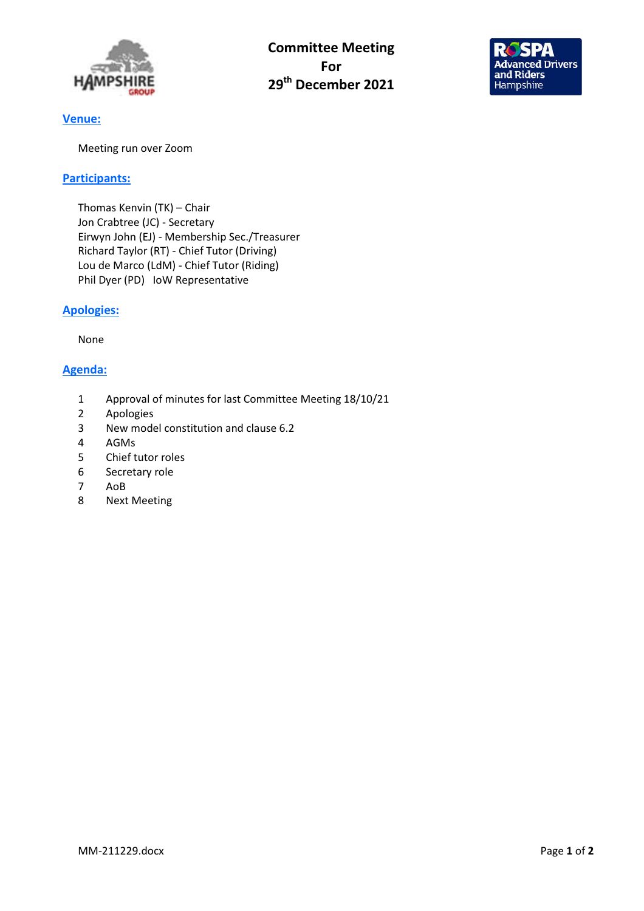

Committee Meeting For 29<sup>th</sup> December 2021



# Venue:

Meeting run over Zoom

## Participants:

Thomas Kenvin (TK) – Chair Jon Crabtree (JC) - Secretary Eirwyn John (EJ) - Membership Sec./Treasurer Richard Taylor (RT) - Chief Tutor (Driving) Lou de Marco (LdM) - Chief Tutor (Riding) Phil Dyer (PD) IoW Representative

# Apologies:

None

# Agenda:

- 1 Approval of minutes for last Committee Meeting 18/10/21
- 2 Apologies
- 3 New model constitution and clause 6.2
- 4 AGMs
- 5 Chief tutor roles
- 6 Secretary role
- 7 AoB
- 8 Next Meeting